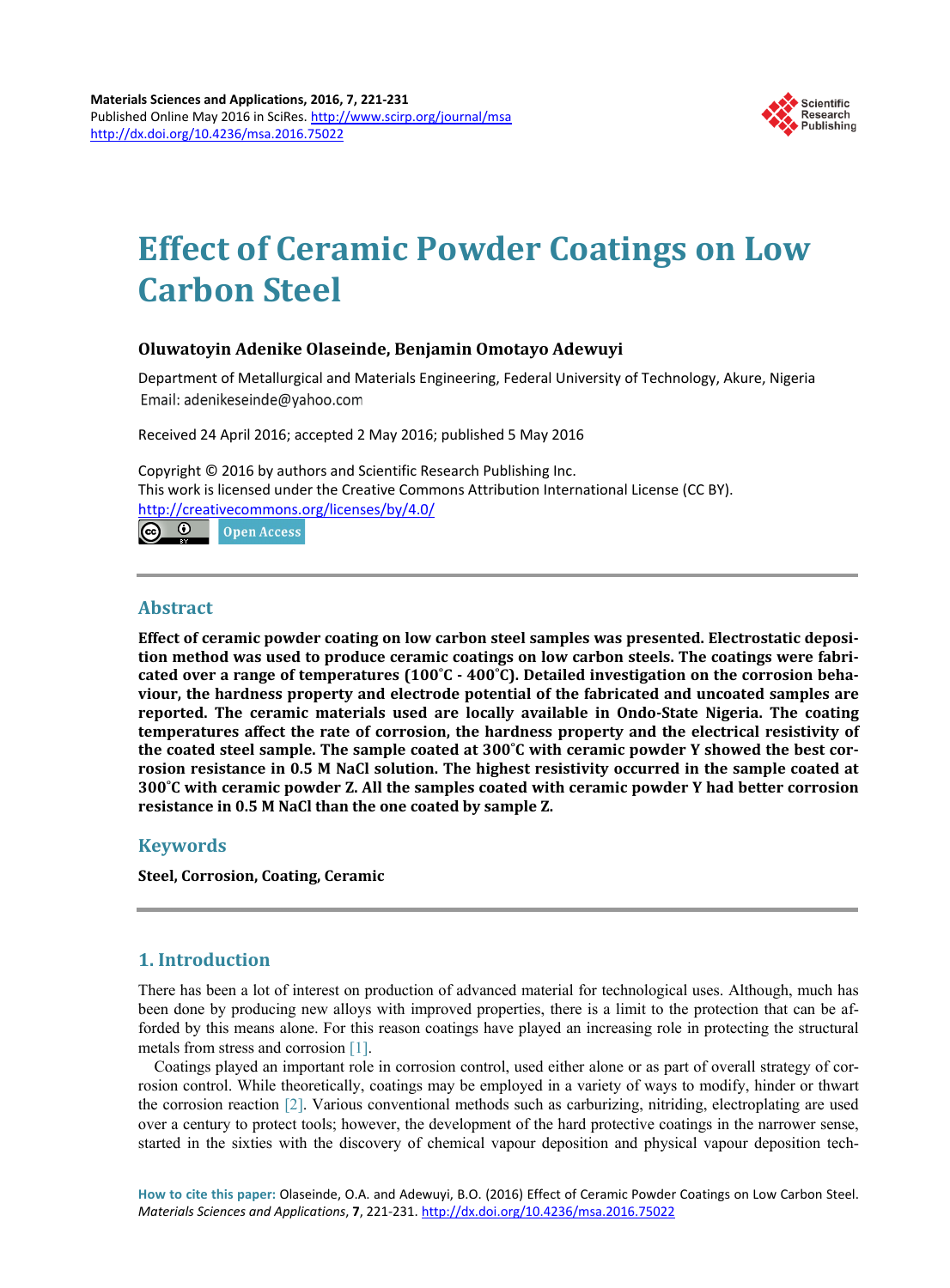

# **Effect of Ceramic Powder Coatings on Low Carbon Steel**

## **Oluwatoyin Adenike Olaseinde, Benjamin Omotayo Adewuyi**

Department of Metallurgical and Materials Engineering, Federal University of Technology, Akure, Nigeria Email: adenikeseinde@yahoo.com

Received 24 April 2016; accepted 2 May 2016; published 5 May 2016

Copyright © 2016 by authors and Scientific Research Publishing Inc. This work is licensed under the Creative Commons Attribution International License (CC BY). <http://creativecommons.org/licenses/by/4.0/> <u>ේ</u> **Open Access** 

## **Abstract**

**Effect of ceramic powder coating on low carbon steel samples was presented. Electrostatic deposition method was used to produce ceramic coatings on low carbon steels. The coatings were fabricated over a range of temperatures (100˚C - 400˚C). Detailed investigation on the corrosion behaviour, the hardness property and electrode potential of the fabricated and uncoated samples are reported. The ceramic materials used are locally available in Ondo-State Nigeria. The coating temperatures affect the rate of corrosion, the hardness property and the electrical resistivity of the coated steel sample. The sample coated at 300˚C with ceramic powder Y showed the best corrosion resistance in 0.5 M NaCl solution. The highest resistivity occurred in the sample coated at 300˚C with ceramic powder Z. All the samples coated with ceramic powder Y had better corrosion resistance in 0.5 M NaCl than the one coated by sample Z.**

# **Keywords**

**Steel, Corrosion, Coating, Ceramic**

# **1. Introduction**

There has been a lot of interest on production of advanced material for technological uses. Although, much has been done by producing new alloys with improved properties, there is a limit to the protection that can be afforded by this means alone. For this reason coatings have played an increasing role in protecting the structural metals from stress and corrosion [\[1\].](#page-9-0)

Coatings played an important role in corrosion control, used either alone or as part of overall strategy of corrosion control. While theoretically, coatings may be employed in a variety of ways to modify, hinder or thwart the corrosion reaction [\[2\].](#page-9-1) Various conventional methods such as carburizing, nitriding, electroplating are used over a century to protect tools; however, the development of the hard protective coatings in the narrower sense, started in the sixties with the discovery of chemical vapour deposition and physical vapour deposition tech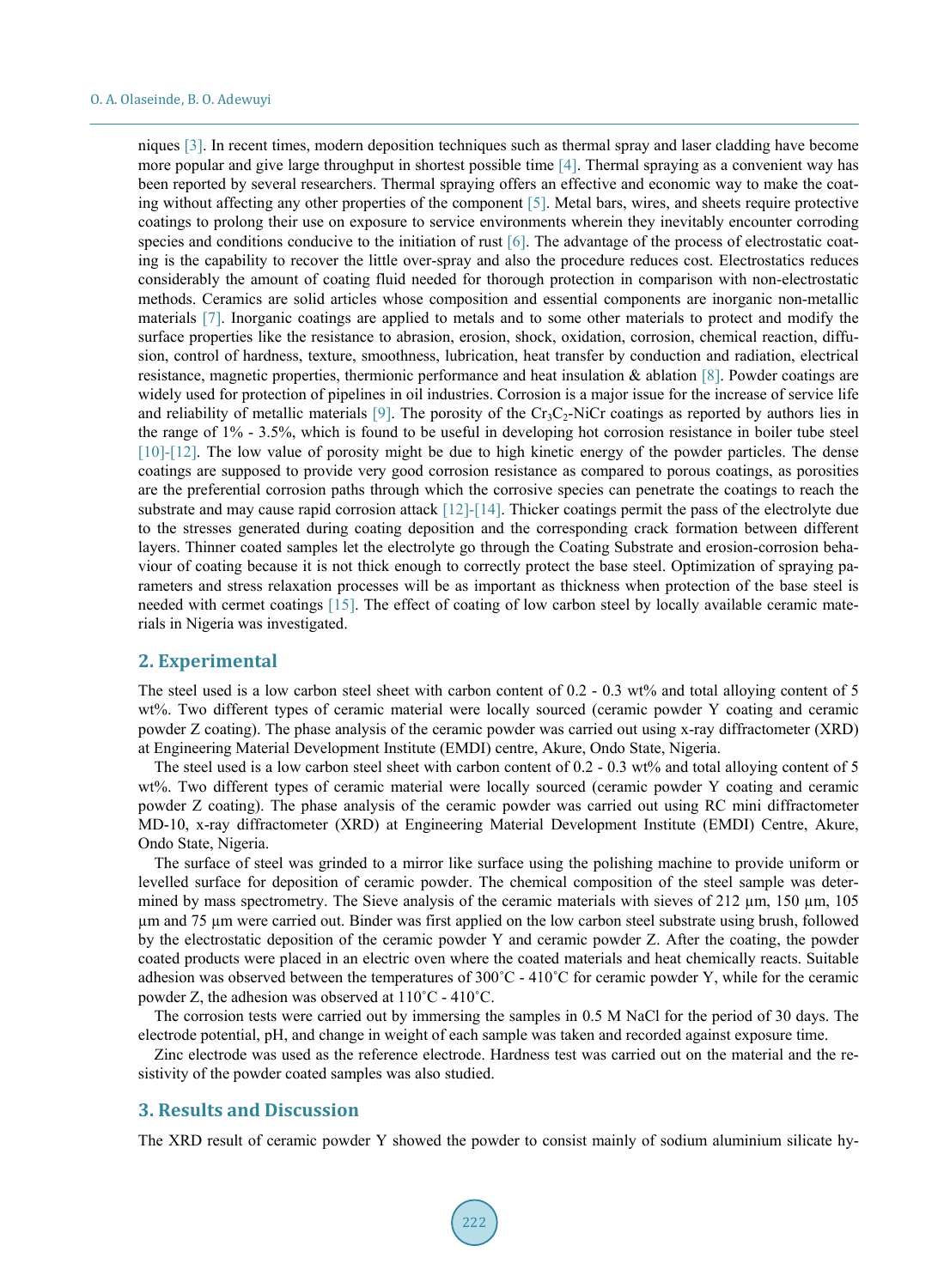niques [\[3\].](#page-9-2) In recent times, modern deposition techniques such as thermal spray and laser cladding have become more popular and give large throughput in shortest possible time [\[4\].](#page-9-3) Thermal spraying as a convenient way has been reported by several researchers. Thermal spraying offers an effective and economic way to make the coating without affecting any other properties of the component [\[5\].](#page-9-4) Metal bars, wires, and sheets require protective coatings to prolong their use on exposure to service environments wherein they inevitably encounter corroding species and conditions conducive to the initiation of rust [\[6\].](#page-9-5) The advantage of the process of electrostatic coating is the capability to recover the little over-spray and also the procedure reduces cost. Electrostatics reduces considerably the amount of coating fluid needed for thorough protection in comparison with non-electrostatic methods. Ceramics are solid articles whose composition and essential components are inorganic non-metallic materials [\[7\].](#page-9-6) Inorganic coatings are applied to metals and to some other materials to protect and modify the surface properties like the resistance to abrasion, erosion, shock, oxidation, corrosion, chemical reaction, diffusion, control of hardness, texture, smoothness, lubrication, heat transfer by conduction and radiation, electrical resistance, magnetic properties, thermionic performance and heat insulation & ablation [\[8\].](#page-9-7) Powder coatings are widely used for protection of pipelines in oil industries. Corrosion is a major issue for the increase of service life and reliability of metallic materials [\[9\].](#page-9-8) The porosity of the  $Cr_3C_2$ -NiCr coatings as reported by authors lies in the range of 1% - 3.5%, which is found to be useful in developing hot corrosion resistance in boiler tube steel [\[10\]](#page-9-9)[-\[12\].](#page-9-10) The low value of porosity might be due to high kinetic energy of the powder particles. The dense coatings are supposed to provide very good corrosion resistance as compared to porous coatings, as porosities are the preferential corrosion paths through which the corrosive species can penetrate the coatings to reach the substrate and may cause rapid corrosion attack [\[12\]](#page-9-10)[-\[14\].](#page-9-11) Thicker coatings permit the pass of the electrolyte due to the stresses generated during coating deposition and the corresponding crack formation between different layers. Thinner coated samples let the electrolyte go through the Coating Substrate and erosion-corrosion behaviour of coating because it is not thick enough to correctly protect the base steel. Optimization of spraying parameters and stress relaxation processes will be as important as thickness when protection of the base steel is needed with cermet coatings [\[15\].](#page-9-12) The effect of coating of low carbon steel by locally available ceramic materials in Nigeria was investigated.

## **2. Experimental**

The steel used is a low carbon steel sheet with carbon content of 0.2 - 0.3 wt% and total alloying content of 5 wt%. Two different types of ceramic material were locally sourced (ceramic powder Y coating and ceramic powder Z coating). The phase analysis of the ceramic powder was carried out using x-ray diffractometer (XRD) at Engineering Material Development Institute (EMDI) centre, Akure, Ondo State, Nigeria.

The steel used is a low carbon steel sheet with carbon content of 0.2 - 0.3 wt% and total alloying content of 5 wt%. Two different types of ceramic material were locally sourced (ceramic powder Y coating and ceramic powder Z coating). The phase analysis of the ceramic powder was carried out using RC mini diffractometer MD-10, x-ray diffractometer (XRD) at Engineering Material Development Institute (EMDI) Centre, Akure, Ondo State, Nigeria.

The surface of steel was grinded to a mirror like surface using the polishing machine to provide uniform or levelled surface for deposition of ceramic powder. The chemical composition of the steel sample was determined by mass spectrometry. The Sieve analysis of the ceramic materials with sieves of 212  $\mu$ m, 150  $\mu$ m, 105 µm and 75 µm were carried out. Binder was first applied on the low carbon steel substrate using brush, followed by the electrostatic deposition of the ceramic powder Y and ceramic powder Z. After the coating, the powder coated products were placed in an electric oven where the coated materials and heat chemically reacts. Suitable adhesion was observed between the temperatures of 300˚C - 410˚C for ceramic powder Y, while for the ceramic powder Z, the adhesion was observed at 110˚C - 410˚C.

The corrosion tests were carried out by immersing the samples in 0.5 M NaCl for the period of 30 days. The electrode potential, pH, and change in weight of each sample was taken and recorded against exposure time.

Zinc electrode was used as the reference electrode. Hardness test was carried out on the material and the resistivity of the powder coated samples was also studied.

### **3. Results and Discussion**

The XRD result of ceramic powder Y showed the powder to consist mainly of sodium aluminium silicate hy-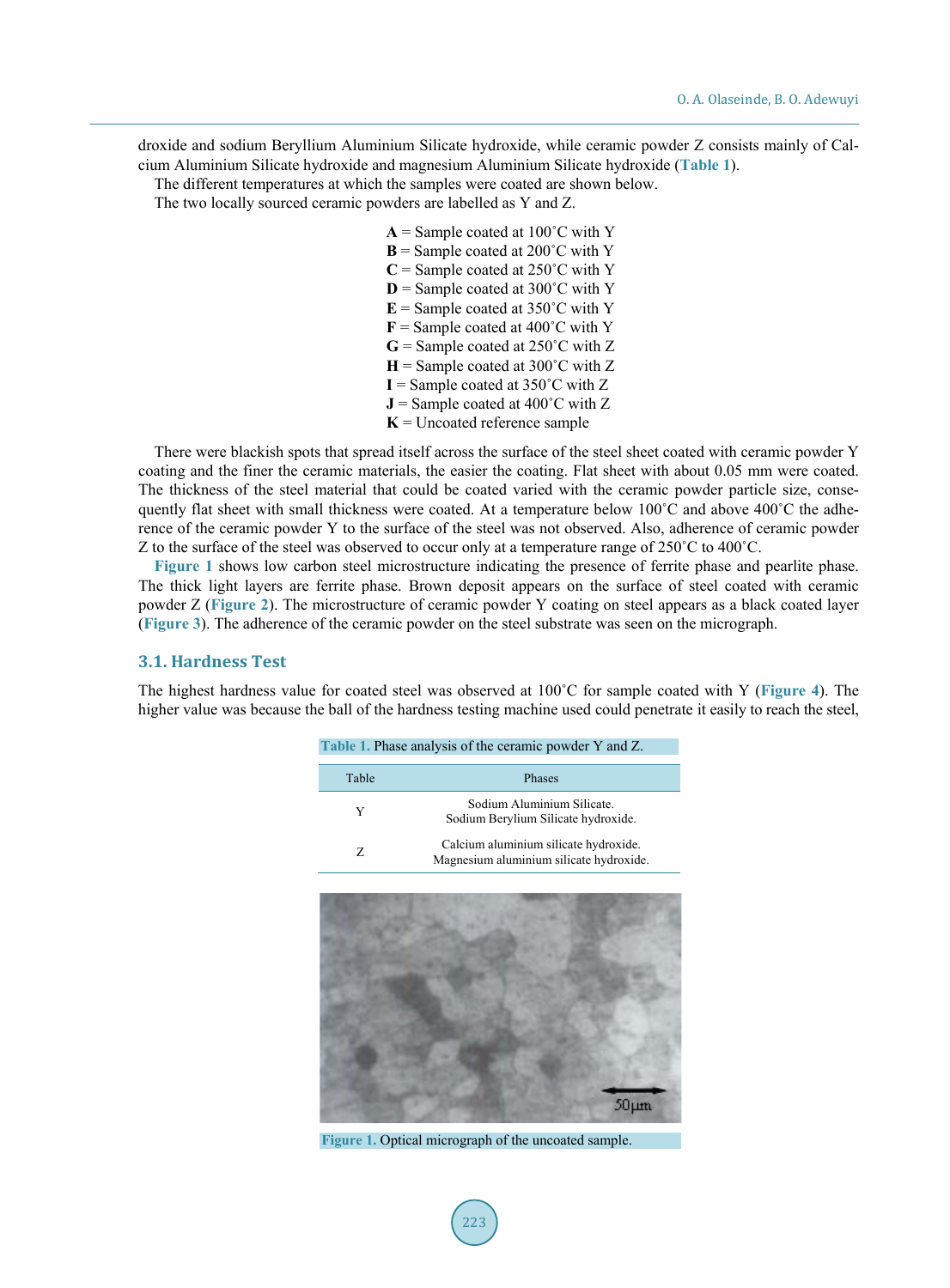droxide and sodium Beryllium Aluminium Silicate hydroxide, while ceramic powder Z consists mainly of Calcium Aluminium Silicate hydroxide and magnesium Aluminium Silicate hydroxide (**[Table 1](#page-2-0)**).

The different temperatures at which the samples were coated are shown below.

The two locally sourced ceramic powders are labelled as Y and Z.

 $A =$  Sample coated at 100 $^{\circ}$ C with Y  $\mathbf{B}$  = Sample coated at 200 $^{\circ}$ C with Y  $C =$  Sample coated at 250 $\degree$ C with Y  $D =$  Sample coated at 300 $^{\circ}$ C with Y  $E =$  Sample coated at 350 $^{\circ}$ C with Y  **= Sample coated at 400** $^{\circ}$ **C with Y**  $G =$  Sample coated at 250 $^{\circ}$ C with Z  $H =$  Sample coated at 300 $^{\circ}$ C with Z  $I =$  Sample coated at 350 $^{\circ}$ C with Z  $J =$  Sample coated at 400 $^{\circ}$ C with Z  $K =$  Uncoated reference sample

There were blackish spots that spread itself across the surface of the steel sheet coated with ceramic powder Y coating and the finer the ceramic materials, the easier the coating. Flat sheet with about 0.05 mm were coated. The thickness of the steel material that could be coated varied with the ceramic powder particle size, consequently flat sheet with small thickness were coated. At a temperature below 100˚C and above 400˚C the adherence of the ceramic powder Y to the surface of the steel was not observed. Also, adherence of ceramic powder Z to the surface of the steel was observed to occur only at a temperature range of 250˚C to 400˚C.

**[Figure 1](#page-2-1)** shows low carbon steel microstructure indicating the presence of ferrite phase and pearlite phase. The thick light layers are ferrite phase. Brown deposit appears on the surface of steel coated with ceramic powder Z (**[Figure 2](#page-3-0)**). The microstructure of ceramic powder Y coating on steel appears as a black coated layer (**[Figure 3](#page-3-1)**). The adherence of the ceramic powder on the steel substrate was seen on the micrograph.

## **3.1. Hardness Test**

<span id="page-2-1"></span><span id="page-2-0"></span>The highest hardness value for coated steel was observed at 100˚C for sample coated with Y (**[Figure 4](#page-3-2)**). The higher value was because the ball of the hardness testing machine used could penetrate it easily to reach the steel,

**Table 1.** Phase analysis of the ceramic powder Y and Z.

| Table | <b>Phases</b>                                                                    |  |  |
|-------|----------------------------------------------------------------------------------|--|--|
| Y     | Sodium Aluminium Silicate.<br>Sodium Berylium Silicate hydroxide.                |  |  |
| Z     | Calcium aluminium silicate hydroxide.<br>Magnesium aluminium silicate hydroxide. |  |  |



**Figure 1.** Optical micrograph of the uncoated sample.

223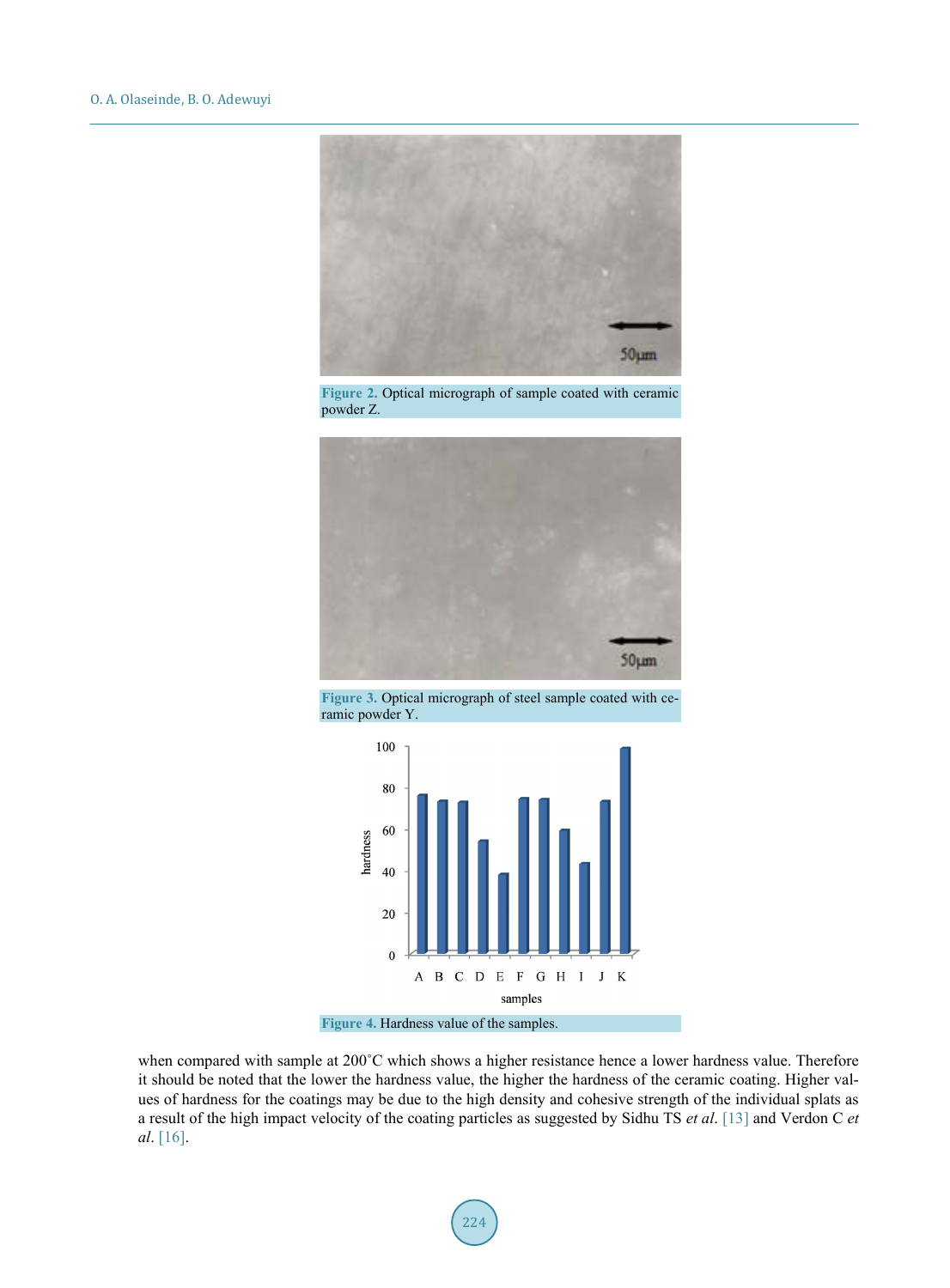<span id="page-3-0"></span>

Figure 2. Optical micrograph of sample coated with ceramic powder Z.

<span id="page-3-1"></span>

**Figure 3.** Optical micrograph of steel sample coated with ceramic powder Y.

<span id="page-3-2"></span>



when compared with sample at 200°C which shows a higher resistance hence a lower hardness value. Therefore it should be noted that the lower the hardness value, the higher the hardness of the ceramic coating. Higher values of hardness for the coatings may be due to the high density and cohesive strength of the individual splats as a result of the high impact velocity of the coating particles as suggested by Sidhu TS *et al*. [\[13\]](#page-9-13) and Verdon C *et al*. [\[16\].](#page-9-14)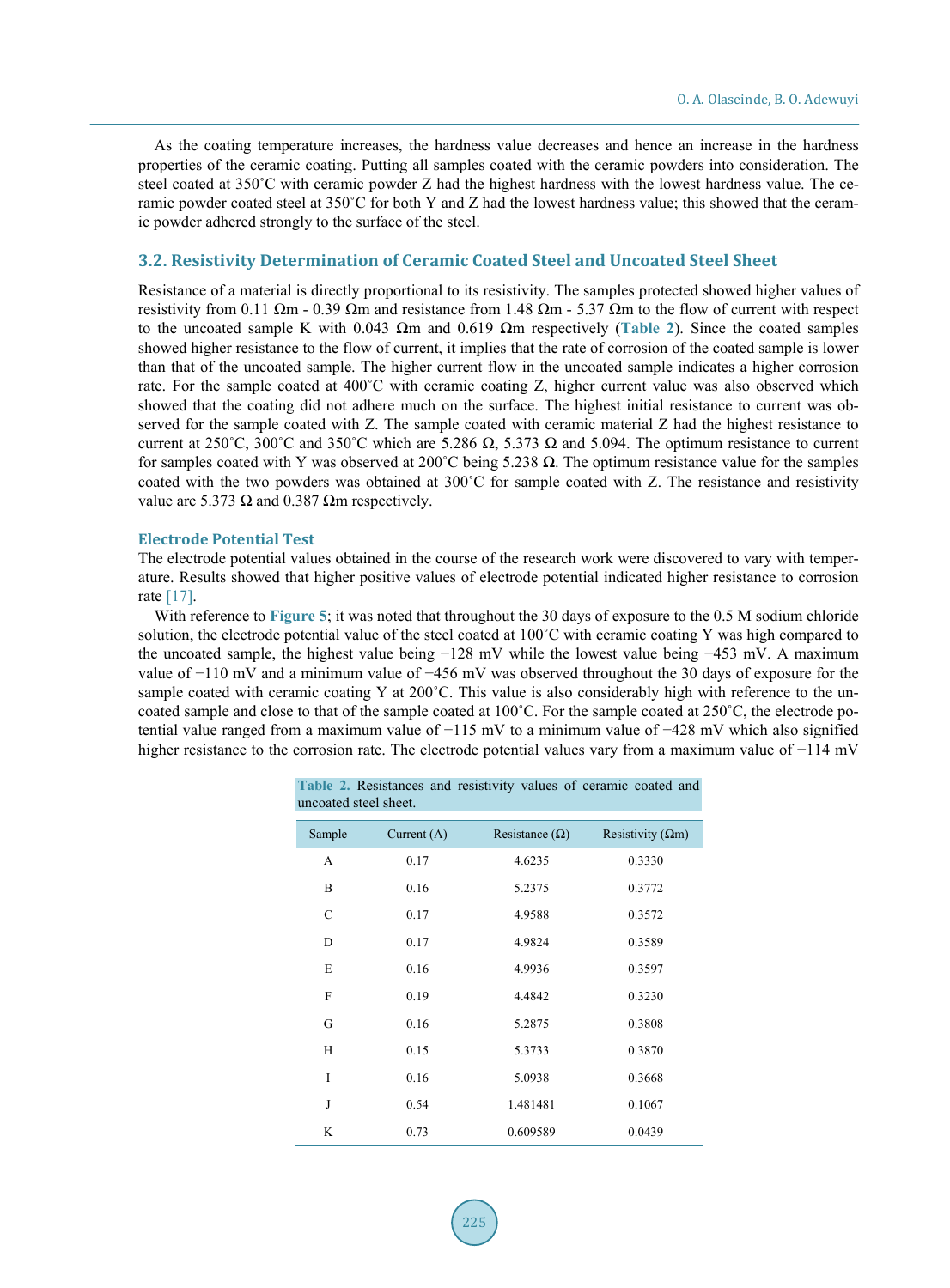As the coating temperature increases, the hardness value decreases and hence an increase in the hardness properties of the ceramic coating. Putting all samples coated with the ceramic powders into consideration. The steel coated at 350˚C with ceramic powder Z had the highest hardness with the lowest hardness value. The ceramic powder coated steel at 350˚C for both Y and Z had the lowest hardness value; this showed that the ceramic powder adhered strongly to the surface of the steel.

#### **3.2. Resistivity Determination of Ceramic Coated Steel and Uncoated Steel Sheet**

Resistance of a material is directly proportional to its resistivity. The samples protected showed higher values of resistivity from 0.11 Ωm - 0.39 Ωm and resistance from 1.48 Ωm - 5.37 Ωm to the flow of current with respect to the uncoated sample K with 0.043 Ωm and 0.619 Ωm respectively (**[Table 2](#page-4-0)**). Since the coated samples showed higher resistance to the flow of current, it implies that the rate of corrosion of the coated sample is lower than that of the uncoated sample. The higher current flow in the uncoated sample indicates a higher corrosion rate. For the sample coated at 400˚C with ceramic coating Z, higher current value was also observed which showed that the coating did not adhere much on the surface. The highest initial resistance to current was observed for the sample coated with Z. The sample coated with ceramic material Z had the highest resistance to current at 250°C, 300°C and 350°C which are 5.286 Ω, 5.373 Ω and 5.094. The optimum resistance to current for samples coated with Y was observed at 200˚C being 5.238 Ω. The optimum resistance value for the samples coated with the two powders was obtained at 300˚C for sample coated with Z. The resistance and resistivity value are 5.373  $\Omega$  and 0.387  $\Omega$ m respectively.

#### **Electrode Potential Test**

The electrode potential values obtained in the course of the research work were discovered to vary with temperature. Results showed that higher positive values of electrode potential indicated higher resistance to corrosion rate [\[17\].](#page-9-15)

<span id="page-4-0"></span>With reference to **[Figure 5](#page-5-0)**; it was noted that throughout the 30 days of exposure to the 0.5 M sodium chloride solution, the electrode potential value of the steel coated at 100°C with ceramic coating Y was high compared to the uncoated sample, the highest value being −128 mV while the lowest value being −453 mV. A maximum value of −110 mV and a minimum value of −456 mV was observed throughout the 30 days of exposure for the sample coated with ceramic coating Y at 200°C. This value is also considerably high with reference to the uncoated sample and close to that of the sample coated at 100˚C. For the sample coated at 250˚C, the electrode potential value ranged from a maximum value of −115 mV to a minimum value of −428 mV which also signified higher resistance to the corrosion rate. The electrode potential values vary from a maximum value of −114 mV

| ancoated siech silcel. |               |                       |                           |  |
|------------------------|---------------|-----------------------|---------------------------|--|
| Sample                 | Current $(A)$ | Resistance $(\Omega)$ | Resistivity ( $\Omega$ m) |  |
| A                      | 0.17          | 4.6235                | 0.3330                    |  |
| B                      | 0.16          | 5.2375                | 0.3772                    |  |
| C                      | 0.17          | 4.9588                | 0.3572                    |  |
| D                      | 0.17          | 4.9824                | 0.3589                    |  |
| E                      | 0.16          | 4.9936                | 0.3597                    |  |
| F                      | 0.19          | 4.4842                | 0.3230                    |  |
| G                      | 0.16          | 5.2875                | 0.3808                    |  |
| H                      | 0.15          | 5.3733                | 0.3870                    |  |
| I                      | 0.16          | 5.0938                | 0.3668                    |  |
| J                      | 0.54          | 1.481481              | 0.1067                    |  |
| K                      | 0.73          | 0.609589              | 0.0439                    |  |

**Table 2.** Resistances and resistivity values of ceramic coated and uncoated steel sheet.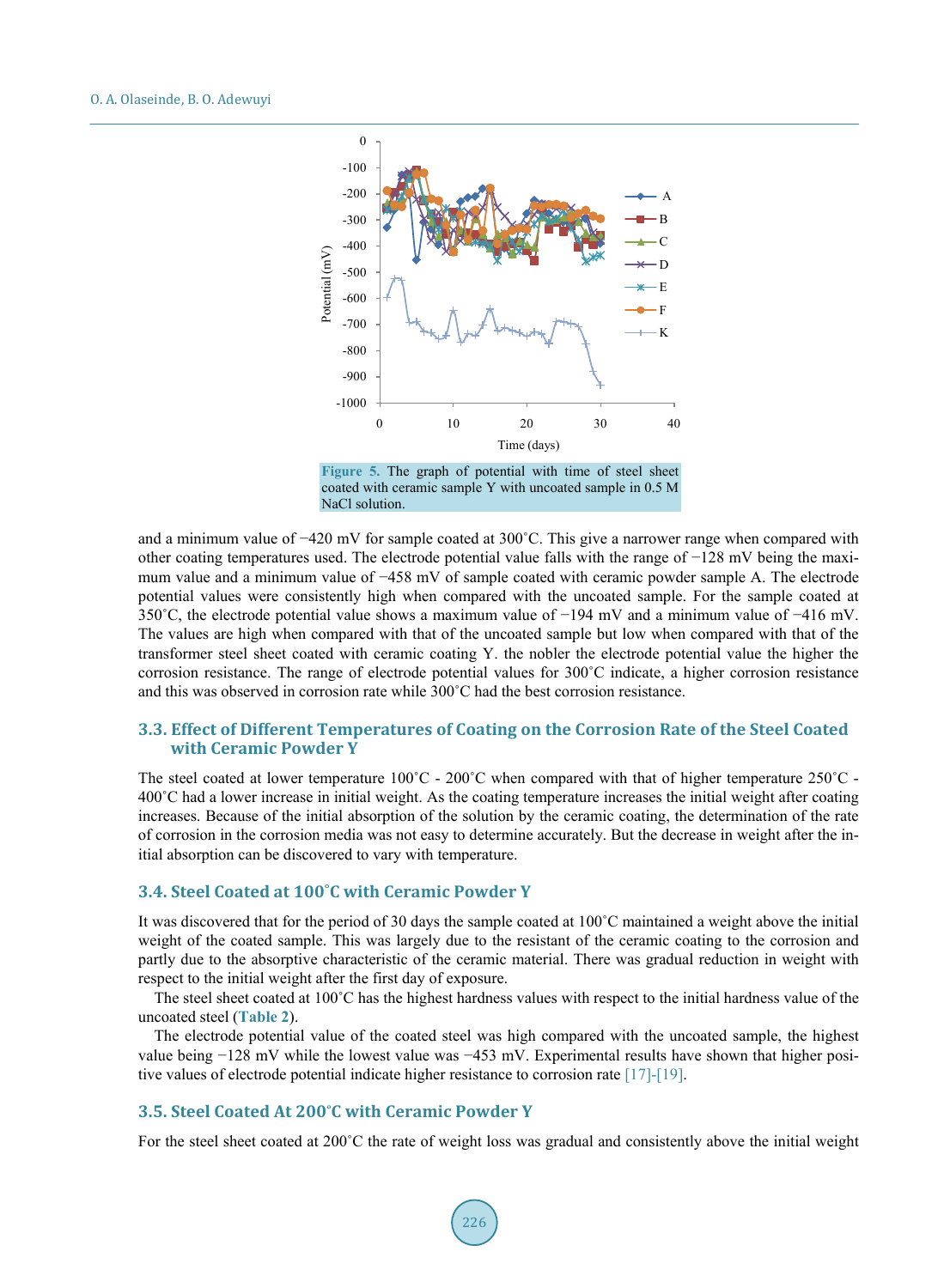<span id="page-5-0"></span>

and a minimum value of −420 mV for sample coated at 300˚C. This give a narrower range when compared with other coating temperatures used. The electrode potential value falls with the range of −128 mV being the maximum value and a minimum value of −458 mV of sample coated with ceramic powder sample A. The electrode potential values were consistently high when compared with the uncoated sample. For the sample coated at 350˚C, the electrode potential value shows a maximum value of −194 mV and a minimum value of −416 mV. The values are high when compared with that of the uncoated sample but low when compared with that of the transformer steel sheet coated with ceramic coating Y. the nobler the electrode potential value the higher the corrosion resistance. The range of electrode potential values for 300˚C indicate, a higher corrosion resistance and this was observed in corrosion rate while 300˚C had the best corrosion resistance.

#### **3.3. Effect of Different Temperatures of Coating on the Corrosion Rate of the Steel Coated with Ceramic Powder Y**

The steel coated at lower temperature  $100^{\circ}$ C -  $200^{\circ}$ C when compared with that of higher temperature  $250^{\circ}$ C -400˚C had a lower increase in initial weight. As the coating temperature increases the initial weight after coating increases. Because of the initial absorption of the solution by the ceramic coating, the determination of the rate of corrosion in the corrosion media was not easy to determine accurately. But the decrease in weight after the initial absorption can be discovered to vary with temperature.

#### **3.4. Steel Coated at 100˚C with Ceramic Powder Y**

It was discovered that for the period of 30 days the sample coated at 100˚C maintained a weight above the initial weight of the coated sample. This was largely due to the resistant of the ceramic coating to the corrosion and partly due to the absorptive characteristic of the ceramic material. There was gradual reduction in weight with respect to the initial weight after the first day of exposure.

The steel sheet coated at 100<sup>°</sup>C has the highest hardness values with respect to the initial hardness value of the uncoated steel (**[Table 2](#page-4-0)**).

The electrode potential value of the coated steel was high compared with the uncoated sample, the highest value being −128 mV while the lowest value was −453 mV. Experimental results have shown that higher positive values of electrode potential indicate higher resistance to corrosion rate [\[17\]-](#page-9-15)[\[19\].](#page-10-0)

#### **3.5. Steel Coated At 200˚C with Ceramic Powder Y**

For the steel sheet coated at 200˚C the rate of weight loss was gradual and consistently above the initial weight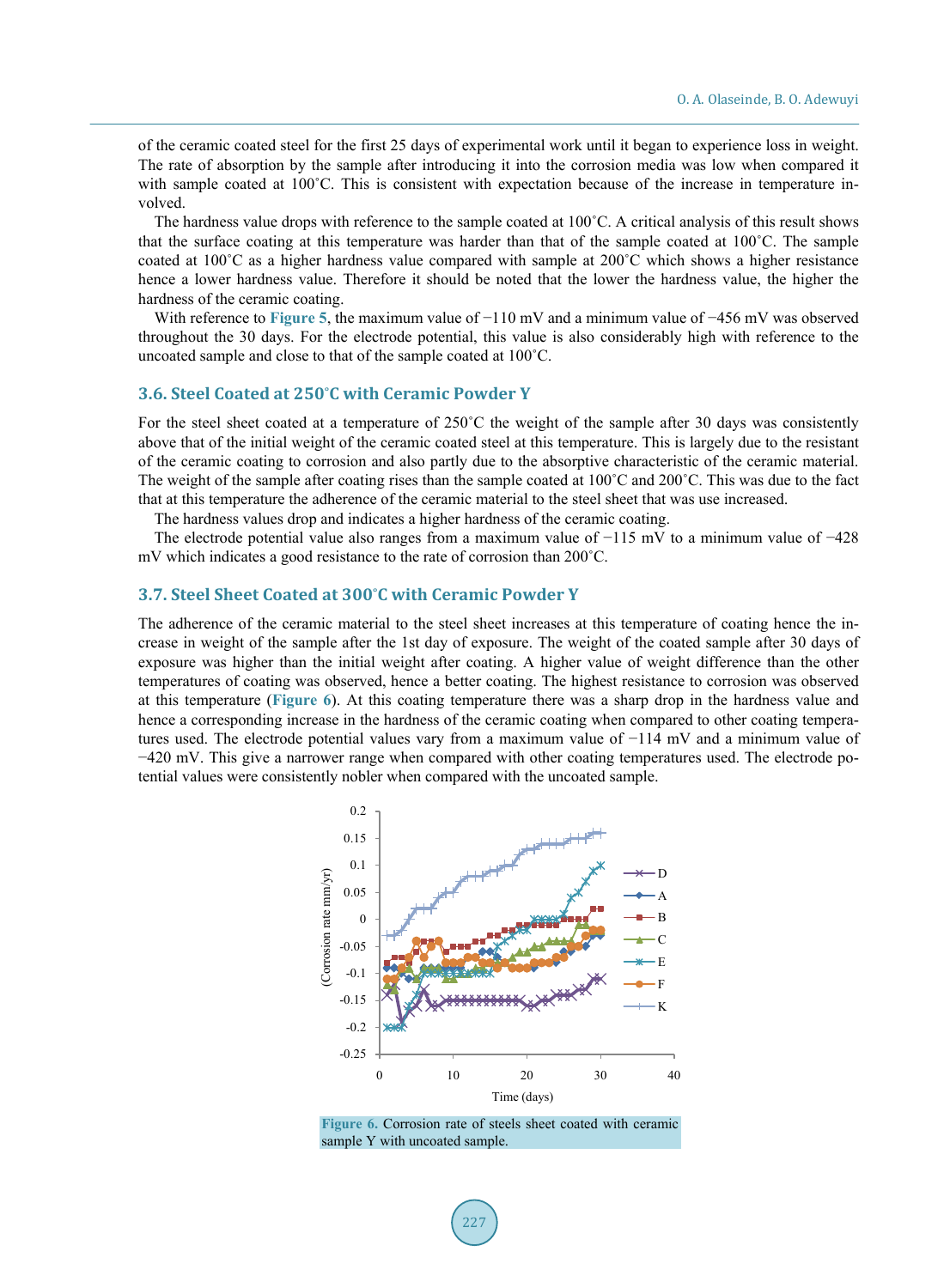of the ceramic coated steel for the first 25 days of experimental work until it began to experience loss in weight. The rate of absorption by the sample after introducing it into the corrosion media was low when compared it with sample coated at 100°C. This is consistent with expectation because of the increase in temperature involved.

The hardness value drops with reference to the sample coated at 100˚C. A critical analysis of this result shows that the surface coating at this temperature was harder than that of the sample coated at 100˚C. The sample coated at 100˚C as a higher hardness value compared with sample at 200˚C which shows a higher resistance hence a lower hardness value. Therefore it should be noted that the lower the hardness value, the higher the hardness of the ceramic coating.

With reference to **[Figure 5](#page-5-0)**, the maximum value of −110 mV and a minimum value of −456 mV was observed throughout the 30 days. For the electrode potential, this value is also considerably high with reference to the uncoated sample and close to that of the sample coated at 100˚C.

#### **3.6. Steel Coated at 250˚C with Ceramic Powder Y**

For the steel sheet coated at a temperature of 250<sup>°</sup>C the weight of the sample after 30 days was consistently above that of the initial weight of the ceramic coated steel at this temperature. This is largely due to the resistant of the ceramic coating to corrosion and also partly due to the absorptive characteristic of the ceramic material. The weight of the sample after coating rises than the sample coated at 100˚C and 200˚C. This was due to the fact that at this temperature the adherence of the ceramic material to the steel sheet that was use increased.

The hardness values drop and indicates a higher hardness of the ceramic coating.

The electrode potential value also ranges from a maximum value of −115 mV to a minimum value of −428 mV which indicates a good resistance to the rate of corrosion than 200˚C.

#### **3.7. Steel Sheet Coated at 300˚C with Ceramic Powder Y**

<span id="page-6-0"></span>The adherence of the ceramic material to the steel sheet increases at this temperature of coating hence the increase in weight of the sample after the 1st day of exposure. The weight of the coated sample after 30 days of exposure was higher than the initial weight after coating. A higher value of weight difference than the other temperatures of coating was observed, hence a better coating. The highest resistance to corrosion was observed at this temperature (**[Figure 6](#page-6-0)**). At this coating temperature there was a sharp drop in the hardness value and hence a corresponding increase in the hardness of the ceramic coating when compared to other coating temperatures used. The electrode potential values vary from a maximum value of −114 mV and a minimum value of −420 mV. This give a narrower range when compared with other coating temperatures used. The electrode potential values were consistently nobler when compared with the uncoated sample.



**Figure 6.** Corrosion rate of steels sheet coated with ceramic sample Y with uncoated sample.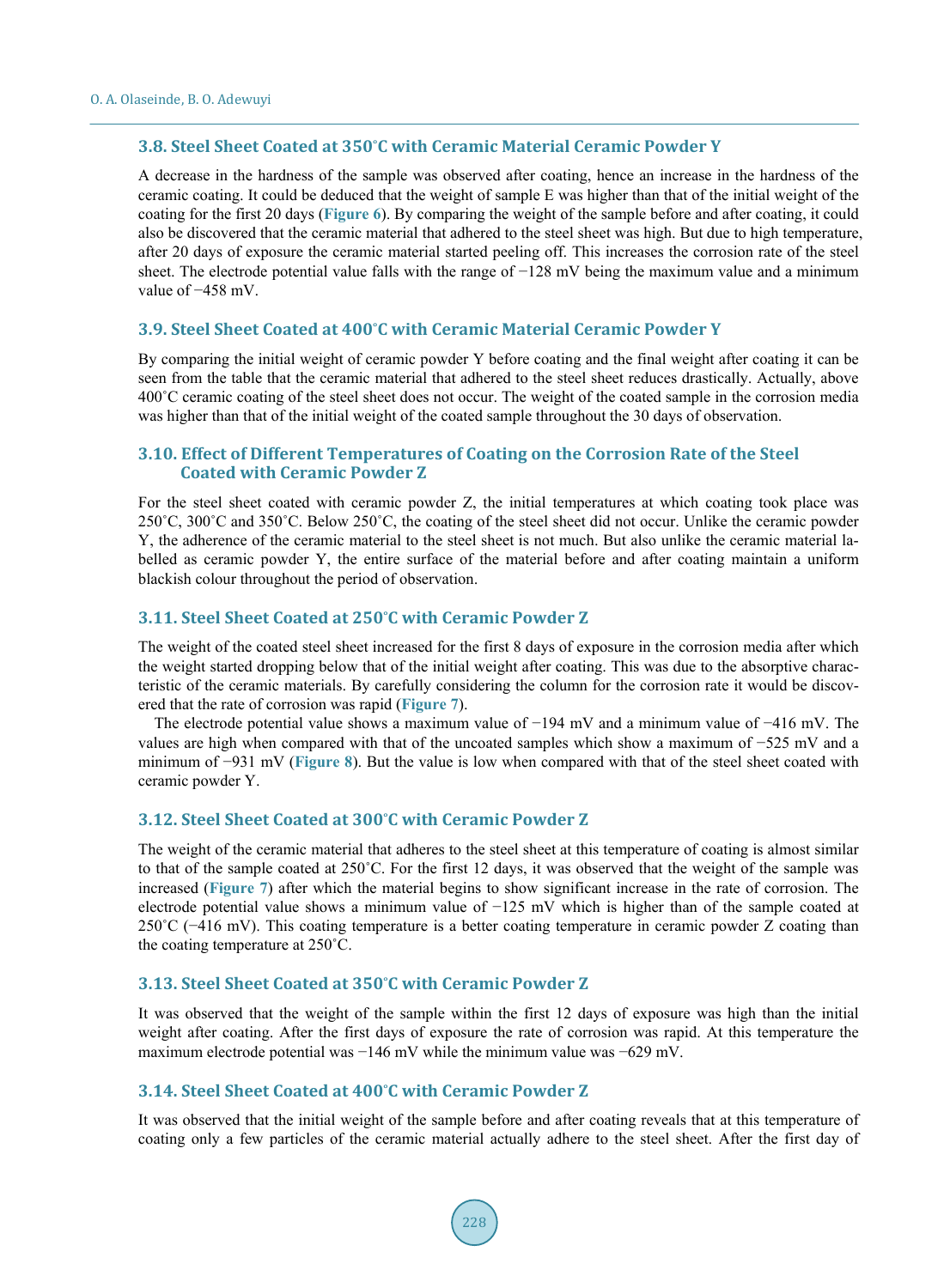#### **3.8. Steel Sheet Coated at 350˚C with Ceramic Material Ceramic Powder Y**

A decrease in the hardness of the sample was observed after coating, hence an increase in the hardness of the ceramic coating. It could be deduced that the weight of sample E was higher than that of the initial weight of the coating for the first 20 days (**[Figure 6](#page-6-0)**). By comparing the weight of the sample before and after coating, it could also be discovered that the ceramic material that adhered to the steel sheet was high. But due to high temperature, after 20 days of exposure the ceramic material started peeling off. This increases the corrosion rate of the steel sheet. The electrode potential value falls with the range of −128 mV being the maximum value and a minimum value of −458 mV.

#### **3.9. Steel Sheet Coated at 400˚C with Ceramic Material Ceramic Powder Y**

By comparing the initial weight of ceramic powder Y before coating and the final weight after coating it can be seen from the table that the ceramic material that adhered to the steel sheet reduces drastically. Actually, above 400˚C ceramic coating of the steel sheet does not occur. The weight of the coated sample in the corrosion media was higher than that of the initial weight of the coated sample throughout the 30 days of observation.

#### **3.10. Effect of Different Temperatures of Coating on the Corrosion Rate of the Steel Coated with Ceramic Powder Z**

For the steel sheet coated with ceramic powder Z, the initial temperatures at which coating took place was 250˚C, 300˚C and 350˚C. Below 250˚C, the coating of the steel sheet did not occur. Unlike the ceramic powder Y, the adherence of the ceramic material to the steel sheet is not much. But also unlike the ceramic material labelled as ceramic powder Y, the entire surface of the material before and after coating maintain a uniform blackish colour throughout the period of observation.

#### **3.11. Steel Sheet Coated at 250˚C with Ceramic Powder Z**

The weight of the coated steel sheet increased for the first 8 days of exposure in the corrosion media after which the weight started dropping below that of the initial weight after coating. This was due to the absorptive characteristic of the ceramic materials. By carefully considering the column for the corrosion rate it would be discovered that the rate of corrosion was rapid (**[Figure 7](#page-8-0)**).

The electrode potential value shows a maximum value of −194 mV and a minimum value of −416 mV. The values are high when compared with that of the uncoated samples which show a maximum of −525 mV and a minimum of −931 mV (**[Figure 8](#page-8-1)**). But the value is low when compared with that of the steel sheet coated with ceramic powder Y.

#### **3.12. Steel Sheet Coated at 300˚C with Ceramic Powder Z**

The weight of the ceramic material that adheres to the steel sheet at this temperature of coating is almost similar to that of the sample coated at 250˚C. For the first 12 days, it was observed that the weight of the sample was increased (**[Figure 7](#page-8-0)**) after which the material begins to show significant increase in the rate of corrosion. The electrode potential value shows a minimum value of −125 mV which is higher than of the sample coated at 250˚C (−416 mV). This coating temperature is a better coating temperature in ceramic powder Z coating than the coating temperature at 250˚C.

#### **3.13. Steel Sheet Coated at 350˚C with Ceramic Powder Z**

It was observed that the weight of the sample within the first 12 days of exposure was high than the initial weight after coating. After the first days of exposure the rate of corrosion was rapid. At this temperature the maximum electrode potential was −146 mV while the minimum value was −629 mV.

#### **3.14. Steel Sheet Coated at 400˚C with Ceramic Powder Z**

It was observed that the initial weight of the sample before and after coating reveals that at this temperature of coating only a few particles of the ceramic material actually adhere to the steel sheet. After the first day of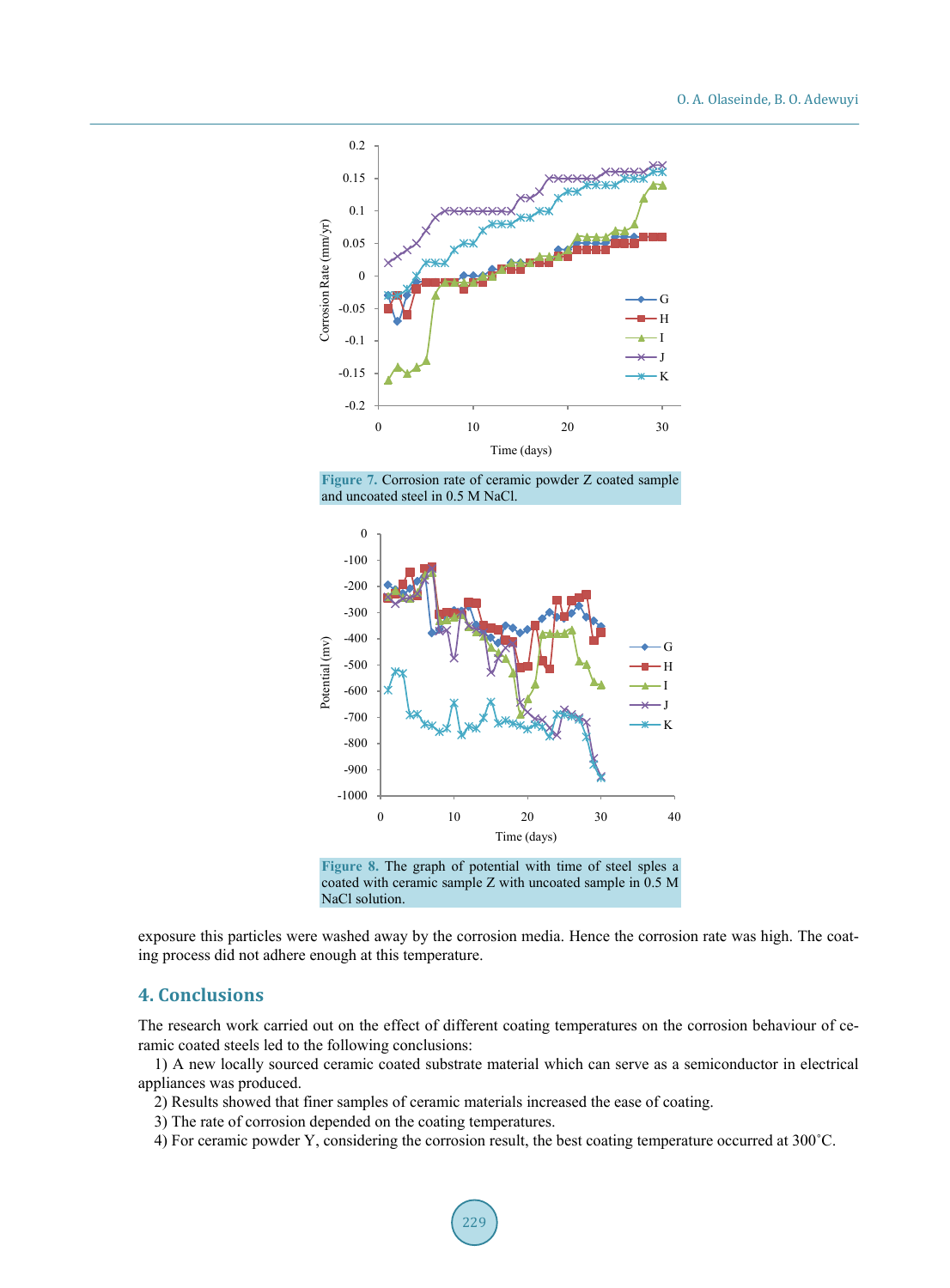<span id="page-8-0"></span>

**Figure 7.** Corrosion rate of ceramic powder Z coated sample and uncoated steel in 0.5 M NaCl.

<span id="page-8-1"></span>

**Figure 8.** The graph of potential with time of steel sples a coated with ceramic sample Z with uncoated sample in 0.5 M NaCl solution.

exposure this particles were washed away by the corrosion media. Hence the corrosion rate was high. The coating process did not adhere enough at this temperature.

# **4. Conclusions**

The research work carried out on the effect of different coating temperatures on the corrosion behaviour of ceramic coated steels led to the following conclusions:

1) A new locally sourced ceramic coated substrate material which can serve as a semiconductor in electrical appliances was produced.

- 2) Results showed that finer samples of ceramic materials increased the ease of coating.
- 3) The rate of corrosion depended on the coating temperatures.
- 4) For ceramic powder Y, considering the corrosion result, the best coating temperature occurred at 300˚C.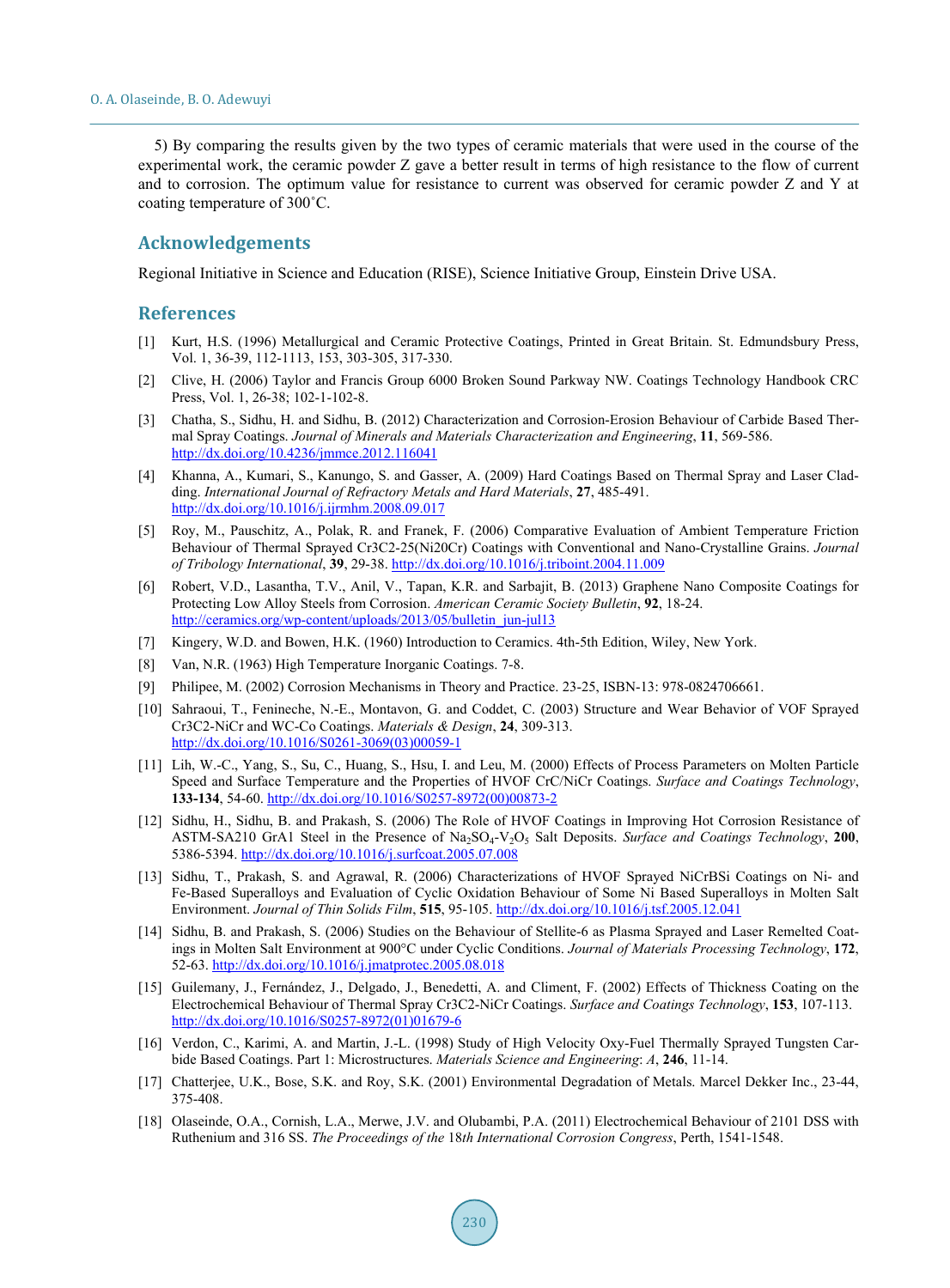5) By comparing the results given by the two types of ceramic materials that were used in the course of the experimental work, the ceramic powder Z gave a better result in terms of high resistance to the flow of current and to corrosion. The optimum value for resistance to current was observed for ceramic powder Z and Y at coating temperature of 300˚C.

#### **Acknowledgements**

Regional Initiative in Science and Education (RISE), Science Initiative Group, Einstein Drive USA.

#### **References**

- <span id="page-9-0"></span>[1] Kurt, H.S. (1996) Metallurgical and Ceramic Protective Coatings, Printed in Great Britain. St. Edmundsbury Press, Vol. 1, 36-39, 112-1113, 153, 303-305, 317-330.
- <span id="page-9-1"></span>[2] Clive, H. (2006) Taylor and Francis Group 6000 Broken Sound Parkway NW. Coatings Technology Handbook CRC Press, Vol. 1, 26-38; 102-1-102-8.
- <span id="page-9-2"></span>[3] Chatha, S., Sidhu, H. and Sidhu, B. (2012) Characterization and Corrosion-Erosion Behaviour of Carbide Based Thermal Spray Coatings. *Journal of Minerals and Materials Characterization and Engineering*, **11**, 569-586. <http://dx.doi.org/10.4236/jmmce.2012.116041>
- <span id="page-9-3"></span>[4] Khanna, A., Kumari, S., Kanungo, S. and Gasser, A. (2009) Hard Coatings Based on Thermal Spray and Laser Cladding. *International Journal of Refractory Metals and Hard Materials*, **27**, 485-491. <http://dx.doi.org/10.1016/j.ijrmhm.2008.09.017>
- <span id="page-9-4"></span>[5] Roy, M., Pauschitz, A., Polak, R. and Franek, F. (2006) Comparative Evaluation of Ambient Temperature Friction Behaviour of Thermal Sprayed Cr3C2-25(Ni20Cr) Coatings with Conventional and Nano-Crystalline Grains. *Journal of Tribology International*, **39**, 29-38. <http://dx.doi.org/10.1016/j.triboint.2004.11.009>
- <span id="page-9-5"></span>[6] Robert, V.D., Lasantha, T.V., Anil, V., Tapan, K.R. and Sarbajit, B. (2013) Graphene Nano Composite Coatings for Protecting Low Alloy Steels from Corrosion. *American Ceramic Society Bulletin*, **92**, 18-24. [http://ceramics.org/wp-content/uploads/2013/05/bulletin\\_jun-jul13](http://ceramics.org/wp-content/uploads/2013/05/bulletin_jun-jul13)
- <span id="page-9-6"></span>[7] Kingery, W.D. and Bowen, H.K. (1960) Introduction to Ceramics. 4th-5th Edition, Wiley, New York.
- <span id="page-9-7"></span>[8] Van, N.R. (1963) High Temperature Inorganic Coatings. 7-8.
- <span id="page-9-8"></span>[9] Philipee, M. (2002) Corrosion Mechanisms in Theory and Practice. 23-25, ISBN-13: 978-0824706661.
- <span id="page-9-9"></span>[10] Sahraoui, T., Fenineche, N.-E., Montavon, G. and Coddet, C. (2003) Structure and Wear Behavior of VOF Sprayed Cr3C2-NiCr and WC-Co Coatings. *Materials & Design*, **24**, 309-313. [http://dx.doi.org/10.1016/S0261-3069\(03\)00059-1](http://dx.doi.org/10.1016/S0261-3069(03)00059-1)
- [11] Lih, W.-C., Yang, S., Su, C., Huang, S., Hsu, I. and Leu, M. (2000) Effects of Process Parameters on Molten Particle Speed and Surface Temperature and the Properties of HVOF CrC/NiCr Coatings. *Surface and Coatings Technology*, **133-134**, 54-60. [http://dx.doi.org/10.1016/S0257-8972\(00\)00873-2](http://dx.doi.org/10.1016/S0257-8972(00)00873-2)
- <span id="page-9-10"></span>[12] Sidhu, H., Sidhu, B. and Prakash, S. (2006) The Role of HVOF Coatings in Improving Hot Corrosion Resistance of ASTM-SA210 GrA1 Steel in the Presence of Na<sub>2</sub>SO<sub>4</sub>-V<sub>2</sub>O<sub>5</sub> Salt Deposits. *Surface and Coatings Technology*, **200**, 5386-5394. <http://dx.doi.org/10.1016/j.surfcoat.2005.07.008>
- <span id="page-9-13"></span>[13] Sidhu, T., Prakash, S. and Agrawal, R. (2006) Characterizations of HVOF Sprayed NiCrBSi Coatings on Ni- and Fe-Based Superalloys and Evaluation of Cyclic Oxidation Behaviour of Some Ni Based Superalloys in Molten Salt Environment. *Journal of Thin Solids Film*, **515**, 95-105. <http://dx.doi.org/10.1016/j.tsf.2005.12.041>
- <span id="page-9-11"></span>[14] Sidhu, B. and Prakash, S. (2006) Studies on the Behaviour of Stellite-6 as Plasma Sprayed and Laser Remelted Coatings in Molten Salt Environment at 900°C under Cyclic Conditions. *Journal of Materials Processing Technology*, **172**, 52-63. <http://dx.doi.org/10.1016/j.jmatprotec.2005.08.018>
- <span id="page-9-12"></span>[15] Guilemany, J., Fernández, J., Delgado, J., Benedetti, A. and Climent, F. (2002) Effects of Thickness Coating on the Electrochemical Behaviour of Thermal Spray Cr3C2-NiCr Coatings. *Surface and Coatings Technology*, **153**, 107-113. [http://dx.doi.org/10.1016/S0257-8972\(01\)01679-6](http://dx.doi.org/10.1016/S0257-8972(01)01679-6)
- <span id="page-9-14"></span>[16] Verdon, C., Karimi, A. and Martin, J.-L. (1998) Study of High Velocity Oxy-Fuel Thermally Sprayed Tungsten Carbide Based Coatings. Part 1: Microstructures. *Materials Science and Engineering*: *A*, **246**, 11-14.
- <span id="page-9-15"></span>[17] Chatterjee, U.K., Bose, S.K. and Roy, S.K. (2001) Environmental Degradation of Metals. Marcel Dekker Inc., 23-44, 375-408.
- [18] Olaseinde, O.A., Cornish, L.A., Merwe, J.V. and Olubambi, P.A. (2011) Electrochemical Behaviour of 2101 DSS with Ruthenium and 316 SS. *The Proceedings of the* 18*th International Corrosion Congress*, Perth, 1541-1548.